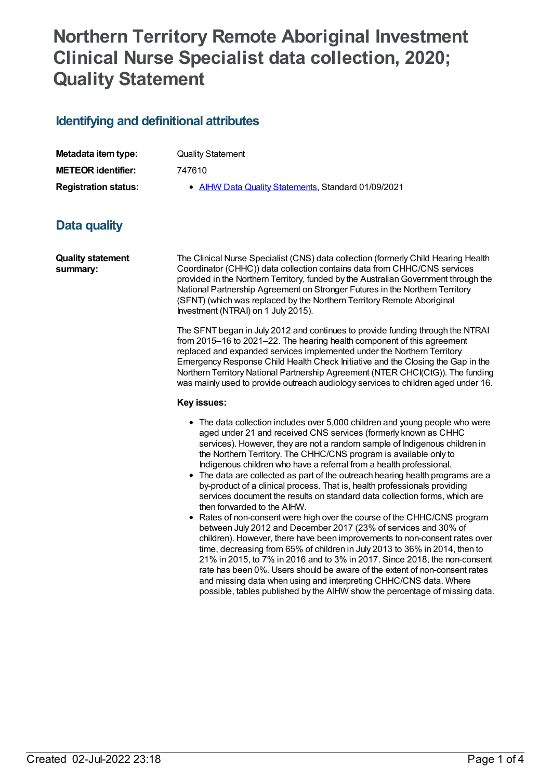# **Northern Territory Remote Aboriginal Investment Clinical Nurse Specialist data collection, 2020; Quality Statement**

## **Identifying and definitional attributes**

| Metadata item type:         | Quality Statement                                   |
|-----------------------------|-----------------------------------------------------|
| <b>METEOR identifier:</b>   | 747610                                              |
| <b>Registration status:</b> | • AIHW Data Quality Statements, Standard 01/09/2021 |

# **Data quality**

**Quality statement summary:**

The Clinical Nurse Specialist (CNS) data collection (formerly Child Hearing Health Coordinator (CHHC)) data collection contains data from CHHC/CNS services provided in the Northern Territory, funded by the AustralianGovernment through the National Partnership Agreement on Stronger Futures in the Northern Territory (SFNT) (which was replaced by the Northern Territory Remote Aboriginal Investment (NTRAI) on 1 July 2015).

The SFNT began in July 2012 and continues to provide funding through the NTRAI from 2015–16 to 2021–22. The hearing health component of this agreement replaced and expanded services implemented under the Northern Territory Emergency Response Child Health Check Initiative and the Closing the Gap in the Northern Territory National Partnership Agreement (NTER CHCI(CtG)). The funding was mainly used to provide outreach audiology services to children aged under 16.

#### **Key issues:**

- The data collection includes over 5,000 children and young people who were aged under 21 and received CNS services (formerly known as CHHC services). However, they are not a random sample of Indigenous children in the Northern Territory. The CHHC/CNS program is available only to Indigenous children who have a referral from a health professional.
- The data are collected as part of the outreach hearing health programs are a by-product of a clinical process. That is, health professionals providing services document the results on standard data collection forms, which are then forwarded to the AIHW.
- Rates of non-consent were high over the course of the CHHC/CNS program between July 2012 and December 2017 (23% of services and 30% of children). However, there have been improvements to non-consent rates over time, decreasing from 65% of children in July 2013 to 36% in 2014, then to 21% in 2015, to 7% in 2016 and to 3% in 2017. Since 2018, the non-consent rate has been 0%. Users should be aware of the extent of non-consent rates and missing data when using and interpreting CHHC/CNS data. Where possible, tables published by the AIHW show the percentage of missing data.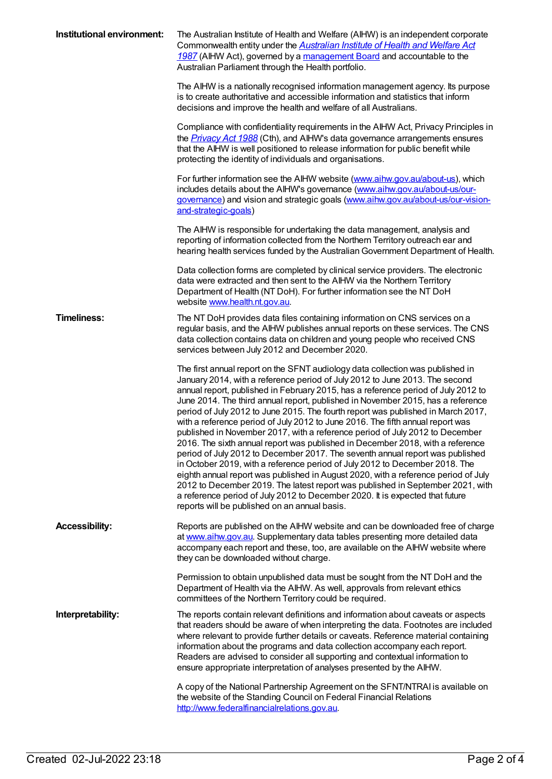| Institutional environment: | The Australian Institute of Health and Welfare (AIHW) is an independent corporate<br>Commonwealth entity under the <b>Australian Institute of Health and Welfare Act</b><br>1987 (AIHW Act), governed by a management Board and accountable to the<br>Australian Parliament through the Health portfolio.<br>The AIHW is a nationally recognised information management agency. Its purpose                                                                                                                                                                                                                                                                                                                                                                                                                                                                                                                                                                                                                                                                                                                                                            |
|----------------------------|--------------------------------------------------------------------------------------------------------------------------------------------------------------------------------------------------------------------------------------------------------------------------------------------------------------------------------------------------------------------------------------------------------------------------------------------------------------------------------------------------------------------------------------------------------------------------------------------------------------------------------------------------------------------------------------------------------------------------------------------------------------------------------------------------------------------------------------------------------------------------------------------------------------------------------------------------------------------------------------------------------------------------------------------------------------------------------------------------------------------------------------------------------|
|                            | is to create authoritative and accessible information and statistics that inform<br>decisions and improve the health and welfare of all Australians.                                                                                                                                                                                                                                                                                                                                                                                                                                                                                                                                                                                                                                                                                                                                                                                                                                                                                                                                                                                                   |
|                            | Compliance with confidentiality requirements in the AIHW Act, Privacy Principles in<br>the <i>Privacy Act 1988</i> (Cth), and AIHW's data governance arrangements ensures<br>that the AIHW is well positioned to release information for public benefit while<br>protecting the identity of individuals and organisations.                                                                                                                                                                                                                                                                                                                                                                                                                                                                                                                                                                                                                                                                                                                                                                                                                             |
|                            | For further information see the AIHW website (www.aihw.gov.au/about-us), which<br>includes details about the AIHW's governance (www.aihw.gov.au/about-us/our-<br>governance) and vision and strategic goals (www.aihw.gov.au/about-us/our-vision-<br>and-strategic-goals)                                                                                                                                                                                                                                                                                                                                                                                                                                                                                                                                                                                                                                                                                                                                                                                                                                                                              |
|                            | The AIHW is responsible for undertaking the data management, analysis and<br>reporting of information collected from the Northern Territory outreach ear and<br>hearing health services funded by the Australian Government Department of Health.                                                                                                                                                                                                                                                                                                                                                                                                                                                                                                                                                                                                                                                                                                                                                                                                                                                                                                      |
|                            | Data collection forms are completed by clinical service providers. The electronic<br>data were extracted and then sent to the AIHW via the Northern Territory<br>Department of Health (NT DoH). For further information see the NT DoH<br>website www.health.nt.gov.au.                                                                                                                                                                                                                                                                                                                                                                                                                                                                                                                                                                                                                                                                                                                                                                                                                                                                                |
| <b>Timeliness:</b>         | The NT DoH provides data files containing information on CNS services on a<br>regular basis, and the AIHW publishes annual reports on these services. The CNS<br>data collection contains data on children and young people who received CNS<br>services between July 2012 and December 2020.                                                                                                                                                                                                                                                                                                                                                                                                                                                                                                                                                                                                                                                                                                                                                                                                                                                          |
|                            | The first annual report on the SFNT audiology data collection was published in<br>January 2014, with a reference period of July 2012 to June 2013. The second<br>annual report, published in February 2015, has a reference period of July 2012 to<br>June 2014. The third annual report, published in November 2015, has a reference<br>period of July 2012 to June 2015. The fourth report was published in March 2017,<br>with a reference period of July 2012 to June 2016. The fifth annual report was<br>published in November 2017, with a reference period of July 2012 to December<br>2016. The sixth annual report was published in December 2018, with a reference<br>period of July 2012 to December 2017. The seventh annual report was published<br>in October 2019, with a reference period of July 2012 to December 2018. The<br>eighth annual report was published in August 2020, with a reference period of July<br>2012 to December 2019. The latest report was published in September 2021, with<br>a reference period of July 2012 to December 2020. It is expected that future<br>reports will be published on an annual basis. |
| <b>Accessibility:</b>      | Reports are published on the AIHW website and can be downloaded free of charge<br>at www.aihw.gov.au. Supplementary data tables presenting more detailed data<br>accompany each report and these, too, are available on the AIHW website where<br>they can be downloaded without charge.                                                                                                                                                                                                                                                                                                                                                                                                                                                                                                                                                                                                                                                                                                                                                                                                                                                               |
|                            | Permission to obtain unpublished data must be sought from the NT DoH and the<br>Department of Health via the AIHW. As well, approvals from relevant ethics<br>committees of the Northern Territory could be required.                                                                                                                                                                                                                                                                                                                                                                                                                                                                                                                                                                                                                                                                                                                                                                                                                                                                                                                                  |
| Interpretability:          | The reports contain relevant definitions and information about caveats or aspects<br>that readers should be aware of when interpreting the data. Footnotes are included<br>where relevant to provide further details or caveats. Reference material containing<br>information about the programs and data collection accompany each report.<br>Readers are advised to consider all supporting and contextual information to<br>ensure appropriate interpretation of analyses presented by the AIHW.                                                                                                                                                                                                                                                                                                                                                                                                                                                                                                                                                                                                                                                    |
|                            | A copy of the National Partnership Agreement on the SFNT/NTRAI is available on<br>the website of the Standing Council on Federal Financial Relations<br>http://www.federalfinancialrelations.gov.au.                                                                                                                                                                                                                                                                                                                                                                                                                                                                                                                                                                                                                                                                                                                                                                                                                                                                                                                                                   |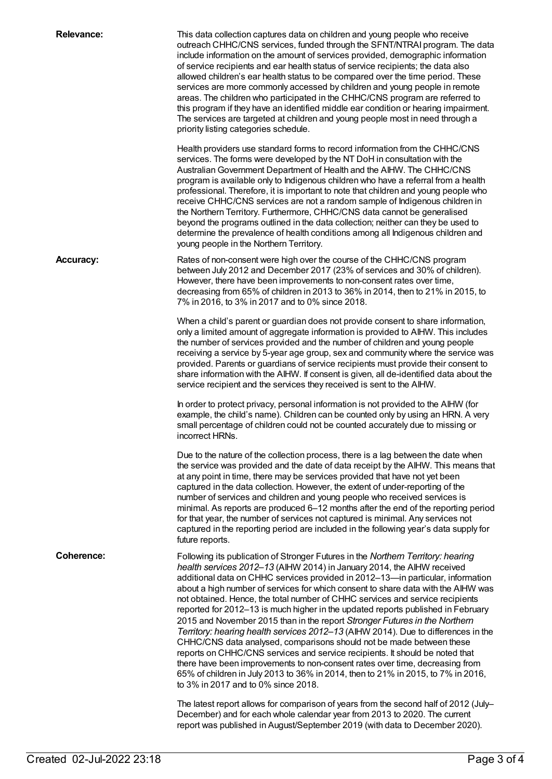| <b>Relevance:</b> | This data collection captures data on children and young people who receive<br>outreach CHHC/CNS services, funded through the SFNT/NTRAI program. The data<br>include information on the amount of services provided, demographic information<br>of service recipients and ear health status of service recipients; the data also<br>allowed children's ear health status to be compared over the time period. These<br>services are more commonly accessed by children and young people in remote<br>areas. The children who participated in the CHHC/CNS program are referred to<br>this program if they have an identified middle ear condition or hearing impairment.<br>The services are targeted at children and young people most in need through a<br>priority listing categories schedule.                                                                                                                                                                                                                                            |
|-------------------|------------------------------------------------------------------------------------------------------------------------------------------------------------------------------------------------------------------------------------------------------------------------------------------------------------------------------------------------------------------------------------------------------------------------------------------------------------------------------------------------------------------------------------------------------------------------------------------------------------------------------------------------------------------------------------------------------------------------------------------------------------------------------------------------------------------------------------------------------------------------------------------------------------------------------------------------------------------------------------------------------------------------------------------------|
|                   | Health providers use standard forms to record information from the CHHC/CNS<br>services. The forms were developed by the NT DoH in consultation with the<br>Australian Government Department of Health and the AIHW. The CHHC/CNS<br>program is available only to Indigenous children who have a referral from a health<br>professional. Therefore, it is important to note that children and young people who<br>receive CHHC/CNS services are not a random sample of Indigenous children in<br>the Northern Territory. Furthermore, CHHC/CNS data cannot be generalised<br>beyond the programs outlined in the data collection; neither can they be used to<br>determine the prevalence of health conditions among all Indigenous children and<br>young people in the Northern Territory.                                                                                                                                                                                                                                                    |
| <b>Accuracy:</b>  | Rates of non-consent were high over the course of the CHHC/CNS program<br>between July 2012 and December 2017 (23% of services and 30% of children).<br>However, there have been improvements to non-consent rates over time,<br>decreasing from 65% of children in 2013 to 36% in 2014, then to 21% in 2015, to<br>7% in 2016, to 3% in 2017 and to 0% since 2018.                                                                                                                                                                                                                                                                                                                                                                                                                                                                                                                                                                                                                                                                            |
|                   | When a child's parent or guardian does not provide consent to share information,<br>only a limited amount of aggregate information is provided to AIHW. This includes<br>the number of services provided and the number of children and young people<br>receiving a service by 5-year age group, sex and community where the service was<br>provided. Parents or guardians of service recipients must provide their consent to<br>share information with the AIHW. If consent is given, all de-identified data about the<br>service recipient and the services they received is sent to the AIHW.                                                                                                                                                                                                                                                                                                                                                                                                                                              |
|                   | In order to protect privacy, personal information is not provided to the AIHW (for<br>example, the child's name). Children can be counted only by using an HRN. A very<br>small percentage of children could not be counted accurately due to missing or<br>incorrect HRNs.                                                                                                                                                                                                                                                                                                                                                                                                                                                                                                                                                                                                                                                                                                                                                                    |
|                   | Due to the nature of the collection process, there is a lag between the date when<br>the service was provided and the date of data receipt by the AIHW. This means that<br>at any point in time, there may be services provided that have not yet been<br>captured in the data collection. However, the extent of under-reporting of the<br>number of services and children and young people who received services is<br>minimal. As reports are produced 6-12 months after the end of the reporting period<br>for that year, the number of services not captured is minimal. Any services not<br>captured in the reporting period are included in the following year's data supply for<br>future reports.                                                                                                                                                                                                                                                                                                                                     |
| <b>Coherence:</b> | Following its publication of Stronger Futures in the Northern Territory: hearing<br>health services 2012-13 (AIHW 2014) in January 2014, the AIHW received<br>additional data on CHHC services provided in 2012-13- in particular, information<br>about a high number of services for which consent to share data with the AIHW was<br>not obtained. Hence, the total number of CHHC services and service recipients<br>reported for 2012-13 is much higher in the updated reports published in February<br>2015 and November 2015 than in the report Stronger Futures in the Northern<br>Territory: hearing health services 2012-13 (AIHW 2014). Due to differences in the<br>CHHC/CNS data analysed, comparisons should not be made between these<br>reports on CHHC/CNS services and service recipients. It should be noted that<br>there have been improvements to non-consent rates over time, decreasing from<br>65% of children in July 2013 to 36% in 2014, then to 21% in 2015, to 7% in 2016,<br>to 3% in 2017 and to 0% since 2018. |
|                   | The latest report allows for comparison of years from the second half of 2012 (July-<br>December) and for each whole calendar year from 2013 to 2020. The current<br>report was published in August/September 2019 (with data to December 2020).                                                                                                                                                                                                                                                                                                                                                                                                                                                                                                                                                                                                                                                                                                                                                                                               |